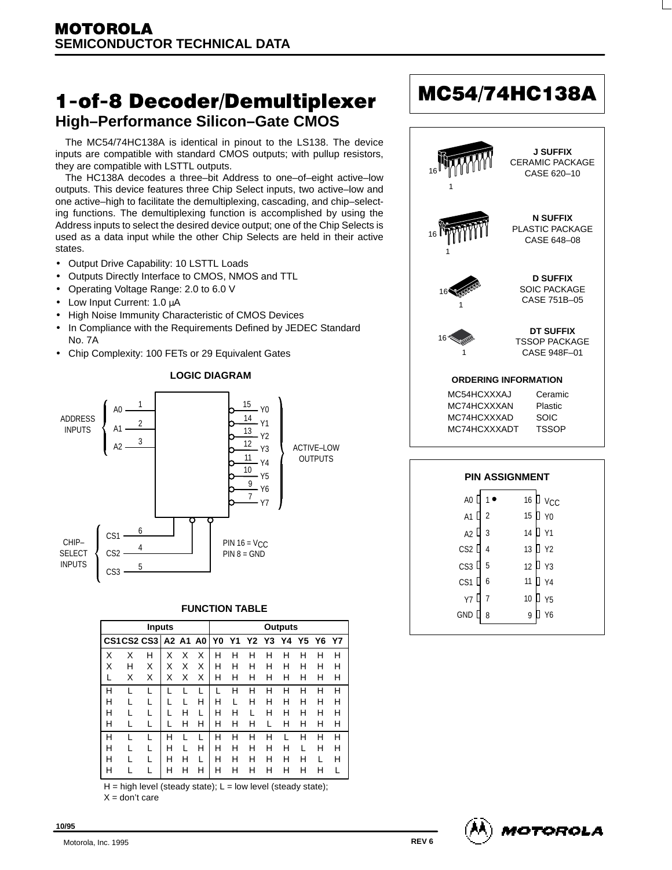# 1-of-8 Decoder/Demultiplexer **High–Performance Silicon–Gate CMOS**

The MC54/74HC138A is identical in pinout to the LS138. The device inputs are compatible with standard CMOS outputs; with pullup resistors, they are compatible with LSTTL outputs.

The HC138A decodes a three–bit Address to one–of–eight active–low outputs. This device features three Chip Select inputs, two active–low and one active–high to facilitate the demultiplexing, cascading, and chip–selecting functions. The demultiplexing function is accomplished by using the Address inputs to select the desired device output; one of the Chip Selects is used as a data input while the other Chip Selects are held in their active states.

- Output Drive Capability: 10 LSTTL Loads
- Outputs Directly Interface to CMOS, NMOS and TTL
- Operating Voltage Range: 2.0 to 6.0 V
- Low Input Current: 1.0 µA
- High Noise Immunity Characteristic of CMOS Devices
- In Compliance with the Requirements Defined by JEDEC Standard No. 7A
- Chip Complexity: 100 FETs or 29 Equivalent Gates



#### **FUNCTION TABLE**

|   |   | <b>Inputs</b> |   |   |   | Outputs |   |                         |   |   |   |              |    |  |
|---|---|---------------|---|---|---|---------|---|-------------------------|---|---|---|--------------|----|--|
|   |   | CS1 CS2 CS3   |   |   |   |         |   | A2 A1 A0 Y0 Y1 Y2 Y3 Y4 |   |   |   | <b>Y5 Y6</b> | Y7 |  |
| X | X | Н             | Χ | X | Χ | н       | н | н                       | Н | н | н | н            | н  |  |
| Χ | н | X             | X | X | Χ | н       | н | н                       | н | н | н | н            | н  |  |
|   | х | X             | X | X | X | н       | н | н                       | Н | н | н | н            | н  |  |
| н |   |               |   |   |   |         | н | н                       | н | н | н | н            | н  |  |
| н |   |               |   |   | H | н       |   | н                       | н | н | н | н            | н  |  |
| н |   |               |   | н | L | н       | н |                         | н | н | н | н            | н  |  |
| н |   |               |   | н | н | н       | н | н                       |   | н | н | н            | н  |  |
| н |   |               | н |   |   | н       | н | н                       | н |   | н | н            | н  |  |
| н |   |               | н |   | н | н       | н | н                       | н | н |   | н            | н  |  |
| н |   |               | н | н |   | н       | н | н                       | н | н | н |              | н  |  |
| н |   |               | н | н | н | н       | н | н                       | н | н | н | н            |    |  |

 $H = high level (steady state); L = low level (steady state);$  $X =$  don't care

| <b>MM</b>                                                 | <b>J SUFFIX</b><br><b>CERAMIC PACKAGE</b><br>CASE 620-10 |
|-----------------------------------------------------------|----------------------------------------------------------|
| 16                                                        | <b>N SUFFIX</b><br>PLASTIC PACKAGE<br>CASE 648-08        |
|                                                           | <b>D SUFFIX</b><br><b>SOIC PACKAGE</b><br>CASE 751B-05   |
| 16*                                                       | <b>DT SUFFIX</b><br><b>TSSOP PACKAGE</b><br>CASE 948F-01 |
|                                                           | <b>ORDERING INFORMATION</b>                              |
| MC54HCXXXAJ<br>MC74HCXXXAN<br>MC74HCXXXAD<br>MC74HCXXXADT | Ceramic<br>Plastic<br>SOIC<br><b>TSSOP</b>               |
|                                                           |                                                          |
|                                                           | <b>PIN ASSIGNMENT</b>                                    |
| A <sub>0</sub>                                            | 16                                                       |
| A <sub>1</sub>                                            | 15                                                       |

MC54/74HC138A





**10/95**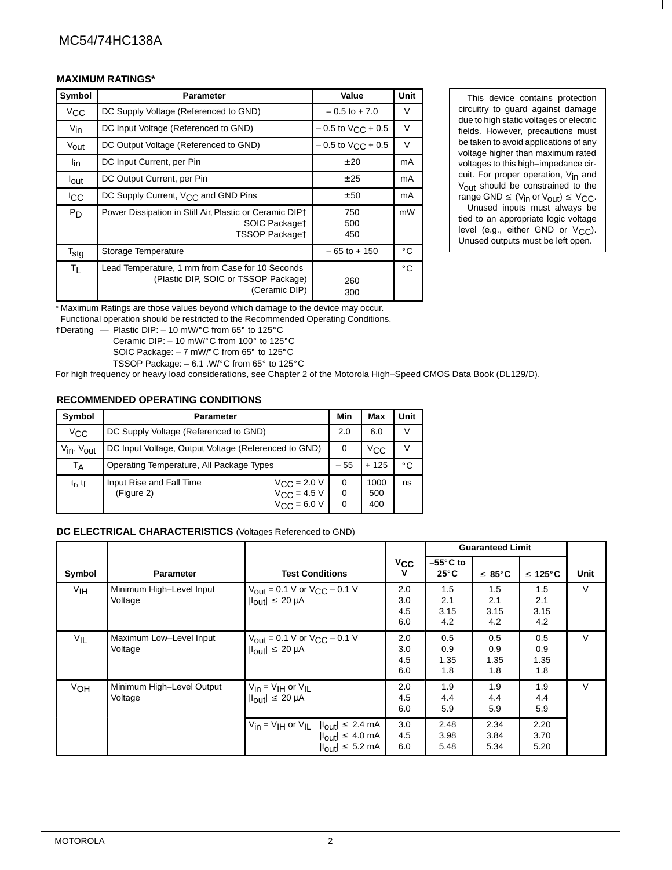## MA VINNINA ELATINENTY AND A SERVICE OF A SERVICE OF A SERVICE OF A SERVICE OF A SERVICE OF A SERVICE OF A SERVICE OF A SERVICE OF A SERVICE OF A SERVICE OF A SERVICE OF A SERVICE OF A SERVICE OF A SERVICE OF A SERVICE OF A

|                  | <b>MAXIMUM RATINGS*</b>                                                                                  |                              |              |                                                                                                                                                      |
|------------------|----------------------------------------------------------------------------------------------------------|------------------------------|--------------|------------------------------------------------------------------------------------------------------------------------------------------------------|
| Symbol           | <b>Parameter</b>                                                                                         |                              | Unit         | This device contains protection                                                                                                                      |
| $V_{\rm CC}$     | DC Supply Voltage (Referenced to GND)                                                                    | $-0.5$ to $+7.0$             | V            | circuitry to guard against damage                                                                                                                    |
| $V_{\text{in}}$  | DC Input Voltage (Referenced to GND)                                                                     | $-0.5$ to $V_{\rm CC}$ + 0.5 | V            | due to high static voltages or electric<br>fields. However, precautions must                                                                         |
| Vout             | DC Output Voltage (Referenced to GND)                                                                    | $-0.5$ to $V_{\rm CC}$ + 0.5 | $\vee$       | be taken to avoid applications of any                                                                                                                |
| l <sub>in</sub>  | DC Input Current, per Pin                                                                                | ± 20                         | mA           | voltage higher than maximum rated<br>voltages to this high-impedance cir-                                                                            |
| lout             | DC Output Current, per Pin                                                                               | ± 25                         | mA           | cuit. For proper operation, V <sub>in</sub> and<br>Vout should be constrained to the                                                                 |
| <sup>I</sup> CC  | DC Supply Current, V <sub>CC</sub> and GND Pins                                                          | ± 50                         | mA           | range GND $\leq$ (V <sub>in</sub> or V <sub>out</sub> ) $\leq$ V <sub>CC</sub> .                                                                     |
| P <sub>D</sub>   | Power Dissipation in Still Air, Plastic or Ceramic DIP+<br>SOIC Packaget<br>TSSOP Packaget               | 750<br>500<br>450            | mW           | Unused inputs must always be<br>tied to an appropriate logic voltage<br>level (e.g., either GND or $V_{C,C}$ ).<br>Unused outputs must be left open. |
| $T_{\text{stg}}$ | Storage Temperature                                                                                      | $-65$ to $+150$              | $^{\circ}$ C |                                                                                                                                                      |
| $T_{L}$          | Lead Temperature, 1 mm from Case for 10 Seconds<br>(Plastic DIP, SOIC or TSSOP Package)<br>(Ceramic DIP) | 260<br>300                   | $^{\circ}$ C |                                                                                                                                                      |

 circuitry to guard against damage be taken to avoid applications of any cuit. For proper operation, V<sub>in</sub> and Unused inputs must always be

\* Maximum Ratings are those values beyond which damage to the device may occur.

Functional operation should be restricted to the Recommended Operating Conditions.<br>†Derating — Plastic DIP: – 10 mW/°C from 65° to 125°C

 $\uparrow$ Derating — Plastic DIP: – 10 mW/°C from 65° to 125°C<br>Ceramic DIP: – 10 mW/°C from 100° to 125°C

SOIC Package:  $-7$  mW/ $\mathrm{^{\circ}C}$  from 65 $\mathrm{^{\circ}}$  to 125 $\mathrm{^{\circ}C}$ 

TSSOP Package:  $-6.1$  .W/ $\degree$ C from 65 $\degree$  to 125 $\degree$ C

For high frequency or heavy load considerations, see Chapter 2 of the Motorola High–Speed CMOS Data Book (DL129/D).

# **RECOMMENDED OPERATING CONDITIONS**

| Symbol                             | <b>Parameter</b>                                                                                                             | Min   | <b>Max</b>         | <b>Unit</b>   |
|------------------------------------|------------------------------------------------------------------------------------------------------------------------------|-------|--------------------|---------------|
| $V_{\rm CC}$                       | DC Supply Voltage (Referenced to GND)                                                                                        | 2.0   | 6.0                | $\sqrt{}$     |
| V <sub>in</sub> , V <sub>out</sub> | DC Input Voltage, Output Voltage (Referenced to GND)                                                                         | 0     | $V_{\rm CC}$       | $\mathcal{L}$ |
| TA                                 | Operating Temperature, All Package Types                                                                                     | $-55$ | $+125$             | $^{\circ}$ C  |
| $t_r$ , $t_f$                      | Input Rise and Fall Time<br>$V_{\rm CC}$ = 2.0 V<br>$V_{\text{CC}}$ = 4.5 V<br>(Figure 2)<br>$V_{\text{CC}} = 6.0 \text{ V}$ |       | 1000<br>500<br>400 | ns            |

## **DC ELECTRICAL CHARACTERISTICS** (Voltages Referenced to GND)

|                 |                                      |                                                                                                                                                                |                          |                            | <b>Guaranteed Limit</b>   |                           |      |
|-----------------|--------------------------------------|----------------------------------------------------------------------------------------------------------------------------------------------------------------|--------------------------|----------------------------|---------------------------|---------------------------|------|
| Symbol          | Parameter                            | <b>Test Conditions</b>                                                                                                                                         | $v_{\rm CC}$<br>v        | –55°C to<br>$25^{\circ}$ C | $\leq 85^{\circ}$ C       | $\leq 125^{\circ}$ C      | Unit |
| V <sub>IH</sub> | Minimum High-Level Input<br>Voltage  | $V_{\text{out}} = 0.1 \text{ V or } V_{\text{CC}} - 0.1 \text{ V}$<br>$\vert I_{\text{out}}\vert \leq 20 \, \mu A$                                             | 2.0<br>3.0<br>4.5<br>6.0 | 1.5<br>2.1<br>3.15<br>4.2  | 1.5<br>2.1<br>3.15<br>4.2 | 1.5<br>2.1<br>3.15<br>4.2 | V    |
| $V_{IL}$        | Maximum Low-Level Input<br>Voltage   | $V_{\text{out}} = 0.1 \text{ V or } V_{\text{CC}} - 0.1 \text{ V}$<br>$ I_{\text{out}}  \leq 20 \mu A$                                                         | 2.0<br>3.0<br>4.5<br>6.0 | 0.5<br>0.9<br>1.35<br>1.8  | 0.5<br>0.9<br>1.35<br>1.8 | 0.5<br>0.9<br>1.35<br>1.8 | V.   |
| VOH             | Minimum High-Level Output<br>Voltage | $V_{in} = V_{IH}$ or $V_{IL}$<br>$\vert I_{\text{out}}\vert \leq 20 \, \mu A$                                                                                  | 2.0<br>4.5<br>6.0        | 1.9<br>4.4<br>5.9          | 1.9<br>4.4<br>5.9         | 1.9<br>4.4<br>5.9         | V    |
|                 |                                      | $V_{in} = V_{\text{IH}}$ or $V_{\text{IL}}$ $ I_{\text{out}}  \leq 2.4$ mA<br>$ I_{\text{out}}  \leq 4.0 \text{ mA}$<br>$ I_{\text{out}}  \leq 5.2 \text{ mA}$ | 3.0<br>4.5<br>6.0        | 2.48<br>3.98<br>5.48       | 2.34<br>3.84<br>5.34      | 2.20<br>3.70<br>5.20      |      |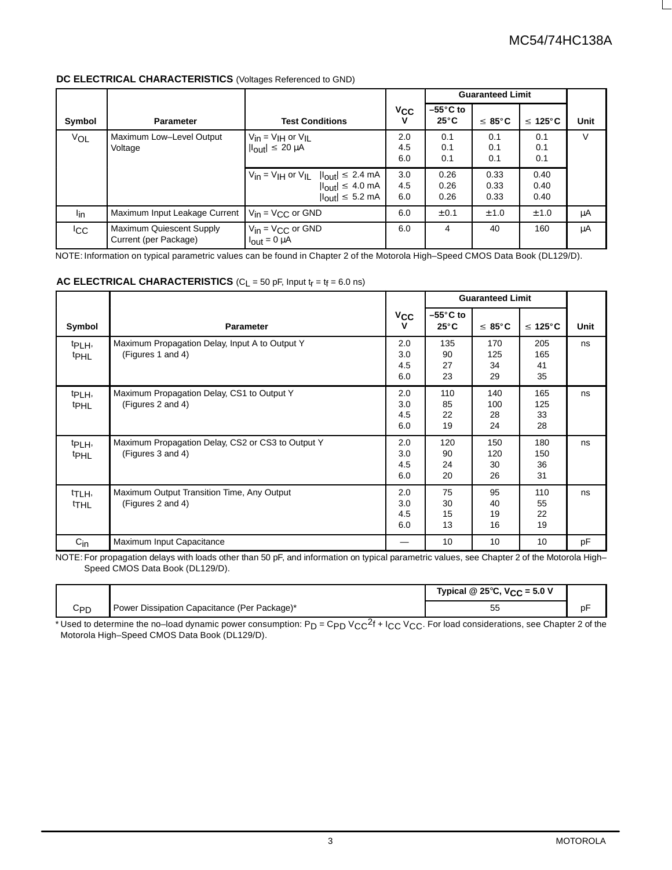# **DC ELECTRICAL CHARACTERISTICS** (Voltages Referenced to GND)

|                 | DC ELECTRICAL CHARACTERISTICS (Voltages Referenced to GND) |                                                                                                                                                          |                   |                            | <b>Guaranteed Limit</b> |                      |      |
|-----------------|------------------------------------------------------------|----------------------------------------------------------------------------------------------------------------------------------------------------------|-------------------|----------------------------|-------------------------|----------------------|------|
| Symbol          | <b>Parameter</b>                                           | <b>Test Conditions</b>                                                                                                                                   | $V_{CC}$          | –55°C to<br>$25^{\circ}$ C | $\leq 85^{\circ}$ C     | $\leq 125^{\circ}$ C | Unit |
| VOL             | Maximum Low-Level Output<br>Voltage                        | $V_{in} = V_{IH}$ or $V_{IL}$<br>$\vert I_{\text{out}}\vert \leq 20 \, \mu A$                                                                            | 2.0<br>4.5<br>6.0 | 0.1<br>0.1<br>0.1          | 0.1<br>0.1<br>0.1       | 0.1<br>0.1<br>0.1    | V    |
|                 |                                                            | $V_{in}$ = V <sub>IH</sub> or V <sub>IL</sub> $ I_{out}  \le 2.4$ mA<br>$ I_{\text{out}}  \leq 4.0 \text{ mA}$<br>$ I_{\text{out}}  \leq 5.2 \text{ mA}$ | 3.0<br>4.5<br>6.0 | 0.26<br>0.26<br>0.26       | 0.33<br>0.33<br>0.33    | 0.40<br>0.40<br>0.40 |      |
| <sup>l</sup> in | Maximum Input Leakage Current                              | $V_{in}$ = V <sub>CC</sub> or GND                                                                                                                        | 6.0               | ± 0.1                      | ± 1.0                   | ± 1.0                | μA   |
| <b>ICC</b>      | Maximum Quiescent Supply<br>Current (per Package)          | $V_{in} = V_{CC}$ or GND<br>$\mathsf{I}_{\mathsf{out}} = 0 \mu \mathsf{A}$                                                                               | 6.0               |                            | 40                      | 160                  | μA   |

NOTE: Information on typical parametric values can be found in Chapter 2 of the Motorola High–Speed CMOS Data Book (DL129/D).

# **AC ELECTRICAL CHARACTERISTICS** ( $C_L$  = 50 pF, Input  $t_r$  =  $t_f$  = 6.0 ns)

,我们就会不会不会。""我们,我们就会不会不会不会。""我们,我们就会不会不会不会不会不会。""我们,我们就会不会不会不会。""我们,我们就会不会不会不会不会不

|                                        |                                                                        |                                |                                      | <b>Guaranteed Limit</b> |                        |      |
|----------------------------------------|------------------------------------------------------------------------|--------------------------------|--------------------------------------|-------------------------|------------------------|------|
| Symbol                                 | <b>Parameter</b>                                                       | $v_{\rm CC}$<br>$\mathbf v$    | $-55^{\circ}$ C to<br>$25^{\circ}$ C | $\leq 85^{\circ}$ C     | $\leq 125^{\circ}$ C   | Unit |
| t <sub>PLH</sub> ,<br><sup>t</sup> PHL | Maximum Propagation Delay, Input A to Output Y<br>(Figures 1 and 4)    | 2.0<br>3.0<br>4.5<br>6.0       | 135<br>90<br>27<br>23                | 170<br>125<br>34<br>29  | 205<br>165<br>41<br>35 | ns   |
| t <sub>PLH</sub> ,<br><sup>t</sup> PHL | Maximum Propagation Delay, CS1 to Output Y<br>(Figures 2 and 4)        | 2.0<br>3.0<br>4.5<br>6.0       | 110<br>85<br>22<br>19                | 140<br>100<br>28<br>24  | 165<br>125<br>33<br>28 | ns   |
| t <sub>PLH</sub> ,<br><b>tPHL</b>      | Maximum Propagation Delay, CS2 or CS3 to Output Y<br>(Figures 3 and 4) | 2.0<br>3.0<br>4.5<br>6.0       | 120<br>90<br>24<br>20                | 150<br>120<br>30<br>26  | 180<br>150<br>36<br>31 | ns   |
| t <sub>TLH</sub> ,<br><sup>t</sup> THL | Maximum Output Transition Time, Any Output<br>(Figures 2 and 4)        | 2.0<br>3.0<br>4.5<br>6.0       | 75<br>30<br>15<br>13                 | 95<br>40<br>19<br>16    | 110<br>55<br>22<br>19  | ns   |
| $C_{in}$                               | Maximum Input Capacitance                                              | $\qquad \qquad \longleftarrow$ | 10                                   | 10 <sup>°</sup>         | 10                     | pF   |

  Speed CMOS Data Book (DL129/D). NOTE: For propagation delays with loads other than 50 pF, and information on typical parametric values, see Chapter 2 of the Motorola High–

,我们就是一个人的,我们就是一个人的,我们就是一个人的。""我们,我们就是一个人的。""我们,我们就是一个人的。""我们,我们就是一个人的,我们就是一个人的,我们

|                 |                                              | Typical @ 25°C, $V_{CC}$ = 5.0 V |  |
|-----------------|----------------------------------------------|----------------------------------|--|
| C <sub>PD</sub> | Power Dissipation Capacitance (Per Package)* | ັບ                               |  |

\* Used to determine the no–load dynamic power consumption: P<sub>D</sub> = C<sub>PD</sub> V<sub>CC</sub>2f + I<sub>CC</sub> V<sub>CC</sub>. For load considerations, see Chapter 2 of the<br>Motorola High–Speed CMOS Data Book (DL129/D).

 

the contract of the contract of the contract of the contract of the contract of the contract of the contract of the contract of the contract of the contract of the contract of the contract of the contract of the contract o

 

 

the contract of the contract of the contract of the contract of the contract of the contract of the contract of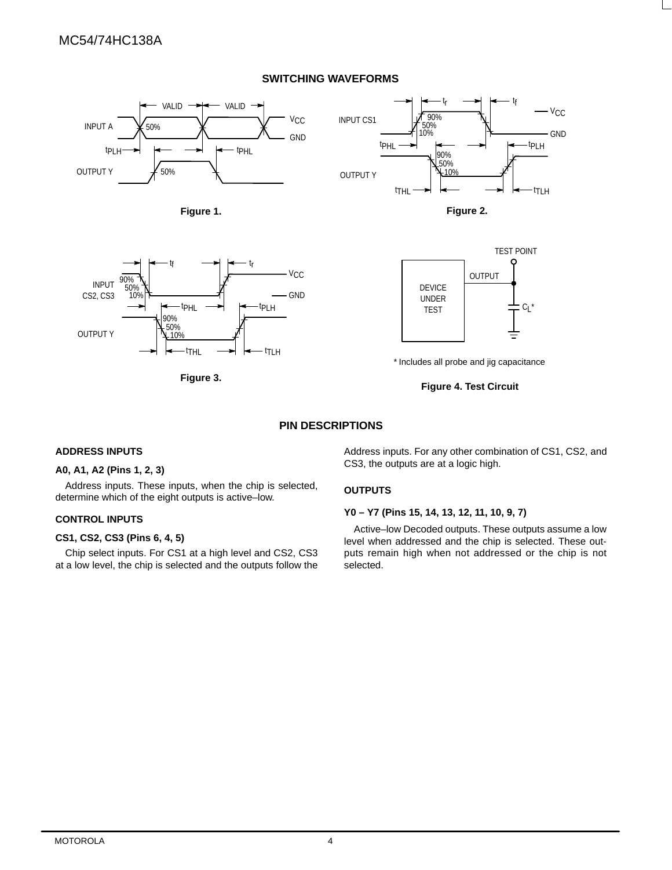# **SWITCHING WAVEFORMS**





**Figure 3.** 



\* Includes all probe and jig capacitance

**Figure 4. Test Circuit**

## **PIN DESCRIPTIONS**

## **ADDRESS INPUTS**

# **A0, A1, A2 (Pins 1, 2, 3)**

Address inputs. These inputs, when the chip is selected, determine which of the eight outputs is active–low.

## **CONTROL INPUTS**

# **CS1, CS2, CS3 (Pins 6, 4, 5)**

Chip select inputs. For CS1 at a high level and CS2, CS3 at a low level, the chip is selected and the outputs follow the Address inputs. For any other combination of CS1, CS2, and CS3, the outputs are at a logic high.

## **OUTPUTS**

## **Y0 – Y7 (Pins 15, 14, 13, 12, 11, 10, 9, 7)**

Active–low Decoded outputs. These outputs assume a low level when addressed and the chip is selected. These outputs remain high when not addressed or the chip is not selected.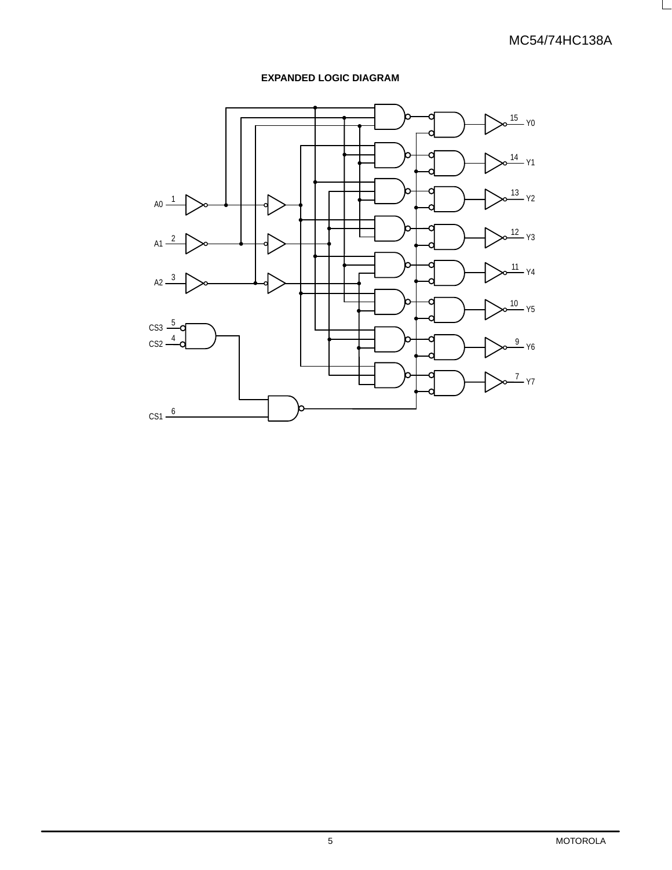L

# **EXPANDED LOGIC DIAGRAM**

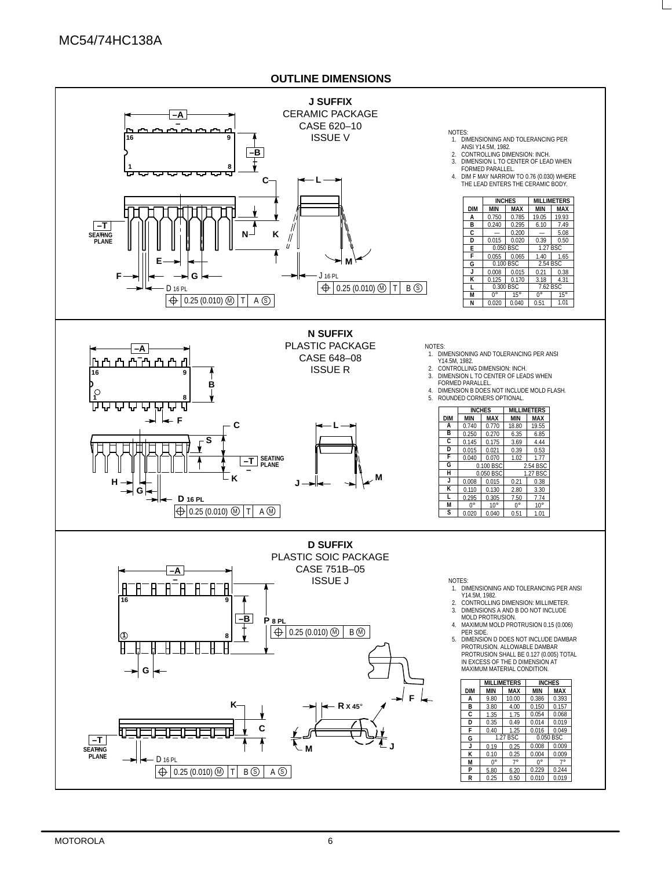# **OUTLINE DIMENSIONS**